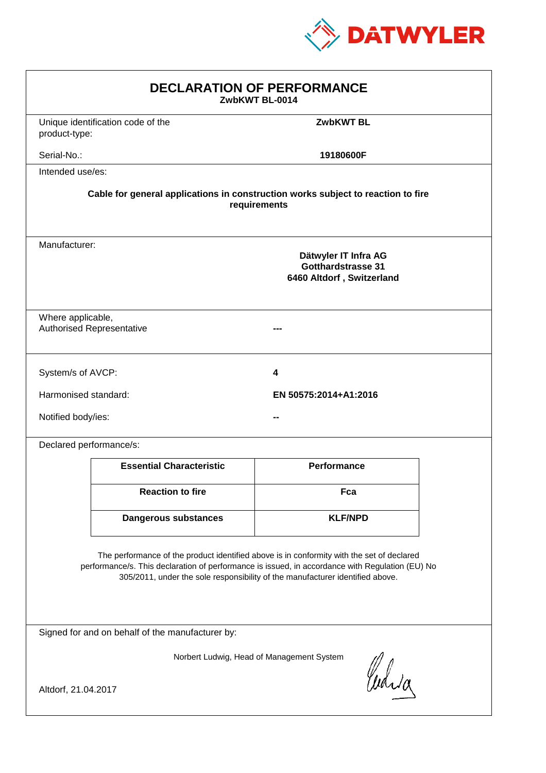

| <b>DECLARATION OF PERFORMANCE</b><br>ZwbKWT BL-0014                                                                                                                                                                                                                           |                                                                                                  |                       |  |  |  |
|-------------------------------------------------------------------------------------------------------------------------------------------------------------------------------------------------------------------------------------------------------------------------------|--------------------------------------------------------------------------------------------------|-----------------------|--|--|--|
| product-type:                                                                                                                                                                                                                                                                 | Unique identification code of the                                                                | <b>ZwbKWT BL</b>      |  |  |  |
| Serial-No.:                                                                                                                                                                                                                                                                   |                                                                                                  | 19180600F             |  |  |  |
| Intended use/es:                                                                                                                                                                                                                                                              |                                                                                                  |                       |  |  |  |
|                                                                                                                                                                                                                                                                               | Cable for general applications in construction works subject to reaction to fire<br>requirements |                       |  |  |  |
|                                                                                                                                                                                                                                                                               | Manufacturer:<br>Dätwyler IT Infra AG<br>Gotthardstrasse 31<br>6460 Altdorf, Switzerland         |                       |  |  |  |
| Where applicable,                                                                                                                                                                                                                                                             | <b>Authorised Representative</b>                                                                 |                       |  |  |  |
| System/s of AVCP:                                                                                                                                                                                                                                                             |                                                                                                  | 4                     |  |  |  |
| Harmonised standard:                                                                                                                                                                                                                                                          |                                                                                                  | EN 50575:2014+A1:2016 |  |  |  |
| Notified body/ies:                                                                                                                                                                                                                                                            |                                                                                                  |                       |  |  |  |
|                                                                                                                                                                                                                                                                               | Declared performance/s:                                                                          |                       |  |  |  |
|                                                                                                                                                                                                                                                                               | <b>Essential Characteristic</b>                                                                  | <b>Performance</b>    |  |  |  |
|                                                                                                                                                                                                                                                                               | <b>Reaction to fire</b>                                                                          | Fca                   |  |  |  |
|                                                                                                                                                                                                                                                                               | <b>Dangerous substances</b>                                                                      | <b>KLF/NPD</b>        |  |  |  |
| The performance of the product identified above is in conformity with the set of declared<br>performance/s. This declaration of performance is issued, in accordance with Regulation (EU) No<br>305/2011, under the sole responsibility of the manufacturer identified above. |                                                                                                  |                       |  |  |  |
| Signed for and on behalf of the manufacturer by:                                                                                                                                                                                                                              |                                                                                                  |                       |  |  |  |
| Norbert Ludwig, Head of Management System                                                                                                                                                                                                                                     |                                                                                                  |                       |  |  |  |
| Curia<br>Altdorf, 21.04.2017                                                                                                                                                                                                                                                  |                                                                                                  |                       |  |  |  |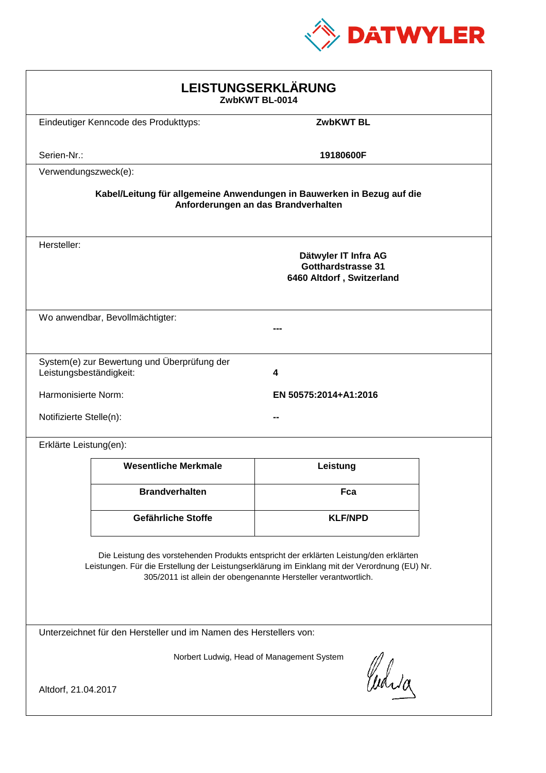

| LEISTUNGSERKLÄRUNG<br>ZwbKWT BL-0014                                                                                                                                                                                                                       |                                             |                                                                                |  |  |
|------------------------------------------------------------------------------------------------------------------------------------------------------------------------------------------------------------------------------------------------------------|---------------------------------------------|--------------------------------------------------------------------------------|--|--|
|                                                                                                                                                                                                                                                            | Eindeutiger Kenncode des Produkttyps:       | <b>ZwbKWT BL</b>                                                               |  |  |
| Serien-Nr.:                                                                                                                                                                                                                                                |                                             | 19180600F                                                                      |  |  |
| Verwendungszweck(e):                                                                                                                                                                                                                                       |                                             |                                                                                |  |  |
| Kabel/Leitung für allgemeine Anwendungen in Bauwerken in Bezug auf die<br>Anforderungen an das Brandverhalten                                                                                                                                              |                                             |                                                                                |  |  |
| Hersteller:                                                                                                                                                                                                                                                |                                             | Dätwyler IT Infra AG<br><b>Gotthardstrasse 31</b><br>6460 Altdorf, Switzerland |  |  |
|                                                                                                                                                                                                                                                            | Wo anwendbar, Bevollmächtigter:             |                                                                                |  |  |
| Leistungsbeständigkeit:                                                                                                                                                                                                                                    | System(e) zur Bewertung und Überprüfung der | 4                                                                              |  |  |
| Harmonisierte Norm:<br>EN 50575:2014+A1:2016                                                                                                                                                                                                               |                                             |                                                                                |  |  |
| Notifizierte Stelle(n):                                                                                                                                                                                                                                    |                                             |                                                                                |  |  |
| Erklärte Leistung(en):                                                                                                                                                                                                                                     |                                             |                                                                                |  |  |
|                                                                                                                                                                                                                                                            | <b>Wesentliche Merkmale</b>                 | Leistung                                                                       |  |  |
|                                                                                                                                                                                                                                                            | <b>Brandverhalten</b>                       | Fca                                                                            |  |  |
|                                                                                                                                                                                                                                                            | Gefährliche Stoffe                          | <b>KLF/NPD</b>                                                                 |  |  |
| Die Leistung des vorstehenden Produkts entspricht der erklärten Leistung/den erklärten<br>Leistungen. Für die Erstellung der Leistungserklärung im Einklang mit der Verordnung (EU) Nr.<br>305/2011 ist allein der obengenannte Hersteller verantwortlich. |                                             |                                                                                |  |  |
| Unterzeichnet für den Hersteller und im Namen des Herstellers von:                                                                                                                                                                                         |                                             |                                                                                |  |  |
| Norbert Ludwig, Head of Management System<br>Curia<br>Altdorf, 21.04.2017                                                                                                                                                                                  |                                             |                                                                                |  |  |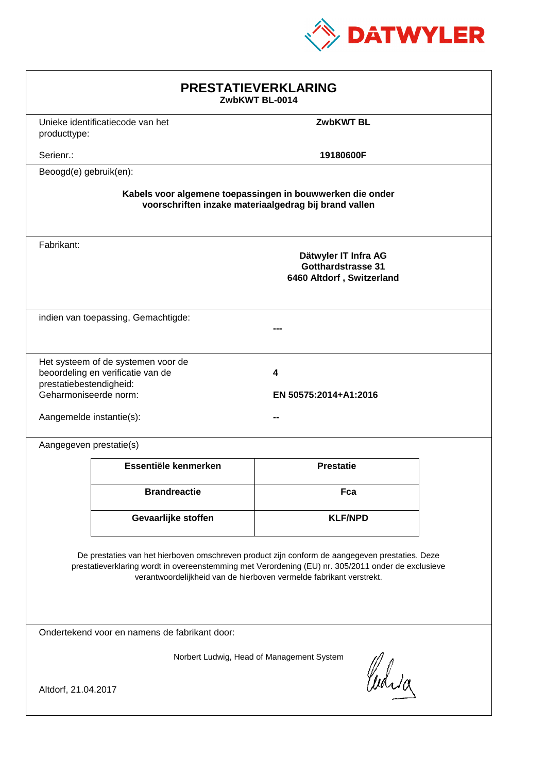

| <b>PRESTATIEVERKLARING</b><br>ZwbKWT BL-0014                                                                                                                                                                                                                                |                                                                         |                                                                                |  |  |
|-----------------------------------------------------------------------------------------------------------------------------------------------------------------------------------------------------------------------------------------------------------------------------|-------------------------------------------------------------------------|--------------------------------------------------------------------------------|--|--|
| producttype:                                                                                                                                                                                                                                                                | Unieke identificatiecode van het                                        | <b>ZwbKWT BL</b>                                                               |  |  |
| Serienr.:                                                                                                                                                                                                                                                                   |                                                                         | 19180600F                                                                      |  |  |
| Beoogd(e) gebruik(en):                                                                                                                                                                                                                                                      |                                                                         |                                                                                |  |  |
| Kabels voor algemene toepassingen in bouwwerken die onder<br>voorschriften inzake materiaalgedrag bij brand vallen                                                                                                                                                          |                                                                         |                                                                                |  |  |
| Fabrikant:                                                                                                                                                                                                                                                                  |                                                                         | Dätwyler IT Infra AG<br><b>Gotthardstrasse 31</b><br>6460 Altdorf, Switzerland |  |  |
| indien van toepassing, Gemachtigde:                                                                                                                                                                                                                                         |                                                                         |                                                                                |  |  |
| prestatiebestendigheid:<br>Geharmoniseerde norm:<br>Aangemelde instantie(s):                                                                                                                                                                                                | Het systeem of de systemen voor de<br>beoordeling en verificatie van de | 4<br>EN 50575:2014+A1:2016                                                     |  |  |
| Aangegeven prestatie(s)                                                                                                                                                                                                                                                     |                                                                         |                                                                                |  |  |
|                                                                                                                                                                                                                                                                             | Essentiële kenmerken                                                    | <b>Prestatie</b>                                                               |  |  |
|                                                                                                                                                                                                                                                                             | <b>Brandreactie</b>                                                     | Fca                                                                            |  |  |
|                                                                                                                                                                                                                                                                             | Gevaarlijke stoffen                                                     | <b>KLF/NPD</b>                                                                 |  |  |
| De prestaties van het hierboven omschreven product zijn conform de aangegeven prestaties. Deze<br>prestatieverklaring wordt in overeenstemming met Verordening (EU) nr. 305/2011 onder de exclusieve<br>verantwoordelijkheid van de hierboven vermelde fabrikant verstrekt. |                                                                         |                                                                                |  |  |
| Ondertekend voor en namens de fabrikant door:                                                                                                                                                                                                                               |                                                                         |                                                                                |  |  |
| Norbert Ludwig, Head of Management System<br>Curia<br>Altdorf, 21.04.2017                                                                                                                                                                                                   |                                                                         |                                                                                |  |  |
|                                                                                                                                                                                                                                                                             |                                                                         |                                                                                |  |  |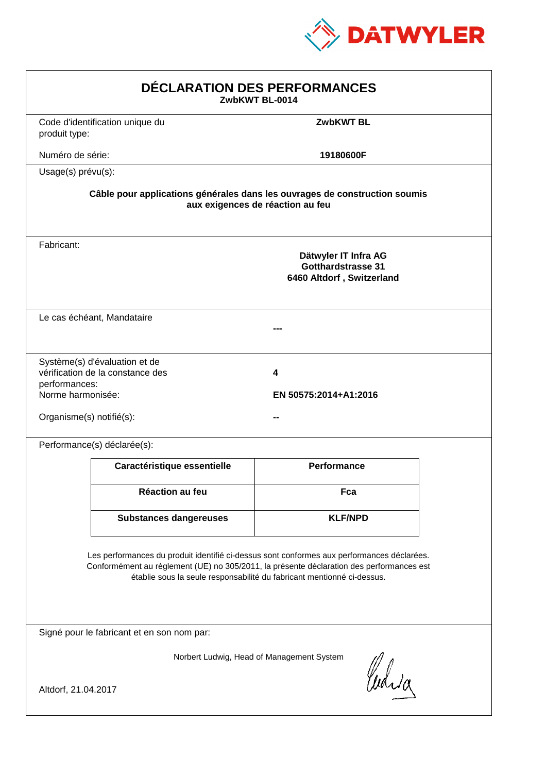

| DÉCLARATION DES PERFORMANCES<br>ZwbKWT BL-0014                 |                                                                   |                                                                                                                                                                                                                                                                  |  |
|----------------------------------------------------------------|-------------------------------------------------------------------|------------------------------------------------------------------------------------------------------------------------------------------------------------------------------------------------------------------------------------------------------------------|--|
| produit type:                                                  | Code d'identification unique du                                   | <b>ZwbKWT BL</b>                                                                                                                                                                                                                                                 |  |
| Numéro de série:                                               |                                                                   | 19180600F                                                                                                                                                                                                                                                        |  |
| Usage(s) prévu(s):                                             |                                                                   |                                                                                                                                                                                                                                                                  |  |
|                                                                |                                                                   | Câble pour applications générales dans les ouvrages de construction soumis<br>aux exigences de réaction au feu                                                                                                                                                   |  |
| Fabricant:                                                     |                                                                   | Dätwyler IT Infra AG<br><b>Gotthardstrasse 31</b><br>6460 Altdorf, Switzerland                                                                                                                                                                                   |  |
|                                                                | Le cas échéant, Mandataire                                        |                                                                                                                                                                                                                                                                  |  |
| performances:<br>Norme harmonisée:<br>Organisme(s) notifié(s): | Système(s) d'évaluation et de<br>vérification de la constance des | 4<br>EN 50575:2014+A1:2016                                                                                                                                                                                                                                       |  |
|                                                                | Performance(s) déclarée(s):                                       |                                                                                                                                                                                                                                                                  |  |
|                                                                | Caractéristique essentielle                                       | Performance                                                                                                                                                                                                                                                      |  |
|                                                                | <b>Réaction au feu</b>                                            | Fca                                                                                                                                                                                                                                                              |  |
|                                                                | <b>Substances dangereuses</b>                                     | <b>KLF/NPD</b>                                                                                                                                                                                                                                                   |  |
|                                                                |                                                                   | Les performances du produit identifié ci-dessus sont conformes aux performances déclarées.<br>Conformément au règlement (UE) no 305/2011, la présente déclaration des performances est<br>établie sous la seule responsabilité du fabricant mentionné ci-dessus. |  |
|                                                                | Signé pour le fabricant et en son nom par:                        |                                                                                                                                                                                                                                                                  |  |
| Altdorf, 21.04.2017                                            |                                                                   | Norbert Ludwig, Head of Management System<br>Curia                                                                                                                                                                                                               |  |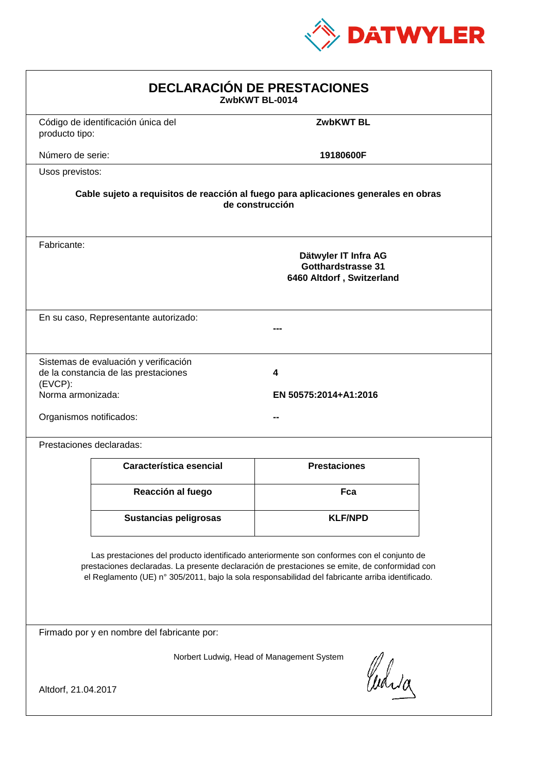

| <b>DECLARACIÓN DE PRESTACIONES</b><br>ZwbKWT BL-0014                                                                                                                                                                                                                                           |                                                                                                        |                            |  |  |  |
|------------------------------------------------------------------------------------------------------------------------------------------------------------------------------------------------------------------------------------------------------------------------------------------------|--------------------------------------------------------------------------------------------------------|----------------------------|--|--|--|
| producto tipo:                                                                                                                                                                                                                                                                                 | Código de identificación única del                                                                     | <b>ZwbKWT BL</b>           |  |  |  |
| Número de serie:                                                                                                                                                                                                                                                                               |                                                                                                        | 19180600F                  |  |  |  |
| Usos previstos:                                                                                                                                                                                                                                                                                |                                                                                                        |                            |  |  |  |
|                                                                                                                                                                                                                                                                                                | Cable sujeto a requisitos de reacción al fuego para aplicaciones generales en obras<br>de construcción |                            |  |  |  |
| Fabricante:                                                                                                                                                                                                                                                                                    | Dätwyler IT Infra AG<br><b>Gotthardstrasse 31</b><br>6460 Altdorf, Switzerland                         |                            |  |  |  |
|                                                                                                                                                                                                                                                                                                | En su caso, Representante autorizado:                                                                  |                            |  |  |  |
| (EVCP):<br>Norma armonizada:<br>Organismos notificados:                                                                                                                                                                                                                                        | Sistemas de evaluación y verificación<br>de la constancia de las prestaciones                          | 4<br>EN 50575:2014+A1:2016 |  |  |  |
|                                                                                                                                                                                                                                                                                                | Prestaciones declaradas:                                                                               |                            |  |  |  |
|                                                                                                                                                                                                                                                                                                | Característica esencial                                                                                | <b>Prestaciones</b>        |  |  |  |
|                                                                                                                                                                                                                                                                                                | Reacción al fuego                                                                                      | Fca                        |  |  |  |
|                                                                                                                                                                                                                                                                                                | <b>Sustancias peligrosas</b>                                                                           | <b>KLF/NPD</b>             |  |  |  |
| Las prestaciones del producto identificado anteriormente son conformes con el conjunto de<br>prestaciones declaradas. La presente declaración de prestaciones se emite, de conformidad con<br>el Reglamento (UE) nº 305/2011, bajo la sola responsabilidad del fabricante arriba identificado. |                                                                                                        |                            |  |  |  |
| Firmado por y en nombre del fabricante por:                                                                                                                                                                                                                                                    |                                                                                                        |                            |  |  |  |
| Norbert Ludwig, Head of Management System<br>Curia<br>Altdorf, 21.04.2017                                                                                                                                                                                                                      |                                                                                                        |                            |  |  |  |